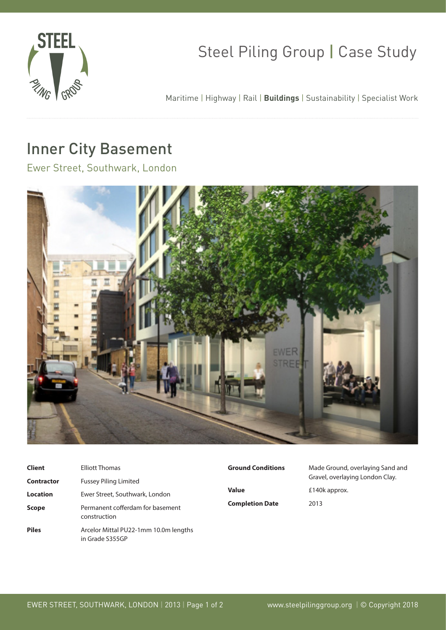

## Steel Piling Group | Case Study

Maritime | Highway | Rail | **Buildings** | Sustainability | Specialist Work

## Inner City Basement

Ewer Street, Southwark, London



| <b>Client</b>     | Elliott Thomas                                           |  |
|-------------------|----------------------------------------------------------|--|
| <b>Contractor</b> | <b>Fussey Piling Limited</b>                             |  |
| Location          | Ewer Street, Southwark, London                           |  |
| <b>Scope</b>      | Permanent cofferdam for basement<br>construction         |  |
| <b>Piles</b>      | Arcelor Mittal PU22-1mm 10.0m lengths<br>in Grade S355GP |  |

**Value** £140k approx. **Completion Date** 2013

**Ground Conditions** Made Ground, overlaying Sand and Gravel, overlaying London Clay.